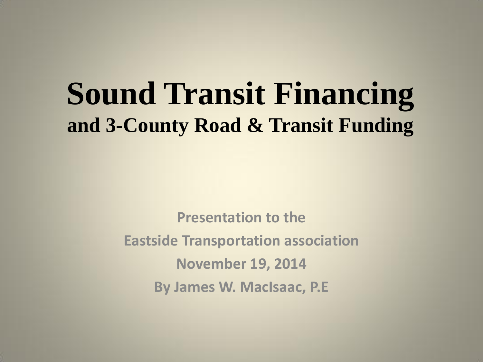# **Sound Transit Financing and 3-County Road & Transit Funding**

**Presentation to the Eastside Transportation association November 19, 2014 By James W. MacIsaac, P.E**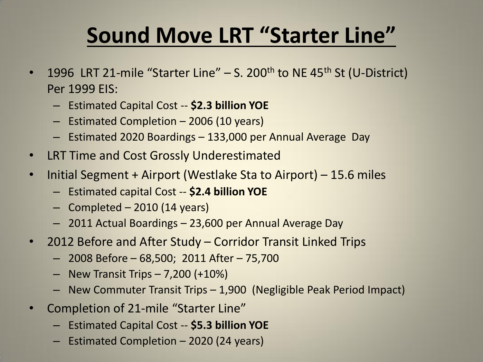## **Sound Move LRT "Starter Line"**

- 1996 LRT 21-mile "Starter Line"  $-$  S. 200<sup>th</sup> to NE 45<sup>th</sup> St (U-District) Per 1999 EIS:
	- Estimated Capital Cost -- **\$2.3 billion YOE**
	- Estimated Completion 2006 (10 years)
	- Estimated 2020 Boardings 133,000 per Annual Average Day
- LRT Time and Cost Grossly Underestimated
- Initial Segment + Airport (Westlake Sta to Airport) 15.6 miles
	- Estimated capital Cost -- **\$2.4 billion YOE**
	- Completed 2010 (14 years)
	- 2011 Actual Boardings 23,600 per Annual Average Day
- 2012 Before and After Study Corridor Transit Linked Trips
	- 2008 Before 68,500; 2011 After 75,700
	- $-$  New Transit Trips  $-7,200 (+10%)$
	- New Commuter Transit Trips 1,900 (Negligible Peak Period Impact)
- Completion of 21-mile "Starter Line"
	- Estimated Capital Cost -- **\$5.3 billion YOE**
	- Estimated Completion 2020 (24 years)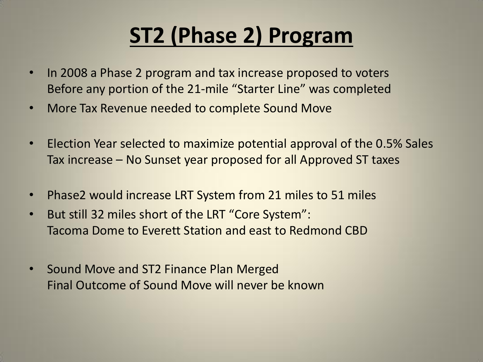# **ST2 (Phase 2) Program**

- In 2008 a Phase 2 program and tax increase proposed to voters Before any portion of the 21-mile "Starter Line" was completed
- More Tax Revenue needed to complete Sound Move
- Election Year selected to maximize potential approval of the 0.5% Sales Tax increase – No Sunset year proposed for all Approved ST taxes
- Phase2 would increase LRT System from 21 miles to 51 miles
- But still 32 miles short of the LRT "Core System": Tacoma Dome to Everett Station and east to Redmond CBD
- Sound Move and ST2 Finance Plan Merged Final Outcome of Sound Move will never be known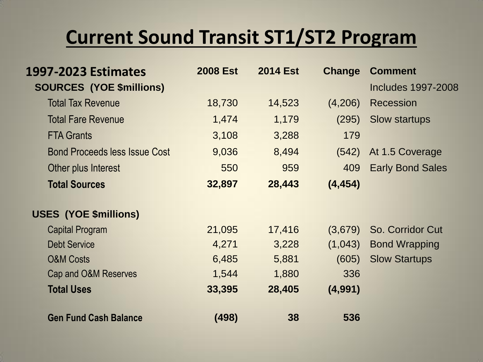#### **Current Sound Transit ST1/ST2 Program**

| 1997-2023 Estimates                  | <b>2008 Est</b> | <b>2014 Est</b> | <b>Change</b> | <b>Comment</b>            |
|--------------------------------------|-----------------|-----------------|---------------|---------------------------|
| <b>SOURCES (YOE \$millions)</b>      |                 |                 |               | <b>Includes 1997-2008</b> |
| <b>Total Tax Revenue</b>             | 18,730          | 14,523          | (4,206)       | <b>Recession</b>          |
| <b>Total Fare Revenue</b>            | 1,474           | 1,179           | (295)         | <b>Slow startups</b>      |
| <b>FTA Grants</b>                    | 3,108           | 3,288           | 179           |                           |
| <b>Bond Proceeds less Issue Cost</b> | 9,036           | 8,494           | (542)         | At 1.5 Coverage           |
| Other plus Interest                  | 550             | 959             | 409           | <b>Early Bond Sales</b>   |
| <b>Total Sources</b>                 | 32,897          | 28,443          | (4, 454)      |                           |
| <b>USES (YOE \$millions)</b>         |                 |                 |               |                           |
| <b>Capital Program</b>               | 21,095          | 17,416          | (3,679)       | So. Corridor Cut          |
| <b>Debt Service</b>                  | 4,271           | 3,228           | (1,043)       | <b>Bond Wrapping</b>      |
| <b>O&amp;M Costs</b>                 | 6,485           | 5,881           | (605)         | <b>Slow Startups</b>      |
| Cap and O&M Reserves                 | 1,544           | 1,880           | 336           |                           |
| <b>Total Uses</b>                    | 33,395          | 28,405          | (4,991)       |                           |
| <b>Gen Fund Cash Balance</b>         | (498)           | 38              | 536           |                           |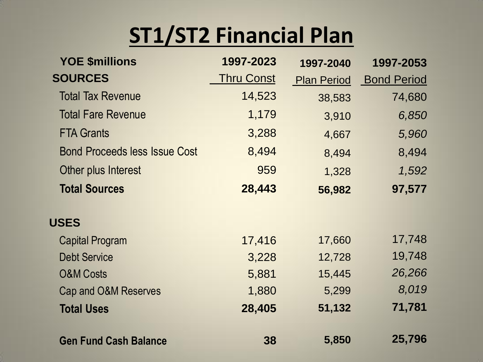## **ST1/ST2 Financial Plan**

| <b>YOE \$millions</b>                | 1997-2023  | 1997-2040          | 1997-2053          |
|--------------------------------------|------------|--------------------|--------------------|
| <b>SOURCES</b>                       | Thru Const | <b>Plan Period</b> | <b>Bond Period</b> |
| <b>Total Tax Revenue</b>             | 14,523     | 38,583             | 74,680             |
| <b>Total Fare Revenue</b>            | 1,179      | 3,910              | 6,850              |
| <b>FTA Grants</b>                    | 3,288      | 4,667              | 5,960              |
| <b>Bond Proceeds less Issue Cost</b> | 8,494      | 8,494              | 8,494              |
| Other plus Interest                  | 959        | 1,328              | 1,592              |
| <b>Total Sources</b>                 | 28,443     | 56,982             | 97,577             |
| <b>USES</b>                          |            |                    |                    |
| <b>Capital Program</b>               | 17,416     | 17,660             | 17,748             |
| <b>Debt Service</b>                  | 3,228      | 12,728             | 19,748             |
| <b>O&amp;M Costs</b>                 | 5,881      | 15,445             | 26,266             |
| Cap and O&M Reserves                 | 1,880      | 5,299              | 8,019              |
| <b>Total Uses</b>                    | 28,405     | 51,132             | 71,781             |
|                                      |            |                    |                    |
| <b>Gen Fund Cash Balance</b>         | 38         | 5,850              | 25,796             |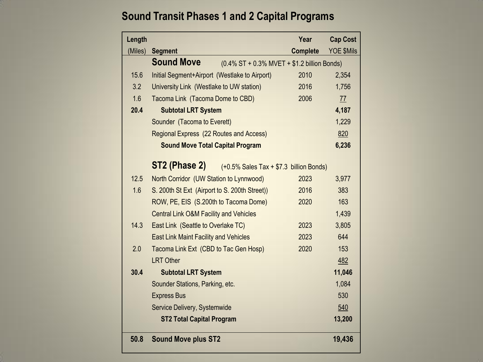#### **Sound Transit Phases 1 and 2 Capital Programs**

| Length  |                                                                  | Year            | <b>Cap Cost</b> |  |  |
|---------|------------------------------------------------------------------|-----------------|-----------------|--|--|
| (Miles) | <b>Segment</b>                                                   | <b>Complete</b> | YOE \$Mils      |  |  |
|         | <b>Sound Move</b><br>(0.4% ST + 0.3% MVET + \$1.2 billion Bonds) |                 |                 |  |  |
| 15.6    | Initial Segment+Airport (Westlake to Airport)                    | 2010            | 2,354           |  |  |
| 3.2     | University Link (Westlake to UW station)                         | 2016            | 1,756           |  |  |
| 1.6     | Tacoma Link (Tacoma Dome to CBD)                                 | 2006            | 77              |  |  |
| 20.4    | <b>Subtotal LRT System</b>                                       |                 | 4,187           |  |  |
|         | Sounder (Tacoma to Everett)                                      |                 | 1,229           |  |  |
|         | Regional Express (22 Routes and Access)                          |                 | 820             |  |  |
|         | <b>Sound Move Total Capital Program</b>                          |                 | 6,236           |  |  |
|         |                                                                  |                 |                 |  |  |
|         | ST2 (Phase 2)<br>$(+0.5\%$ Sales Tax $+ $7.3$ billion Bonds)     |                 |                 |  |  |
| 12.5    | North Corridor (UW Station to Lynnwood)                          | 2023            | 3,977           |  |  |
| 1.6     | S. 200th St Ext (Airport to S. 200th Street))                    | 2016            | 383             |  |  |
|         | ROW, PE, EIS (S.200th to Tacoma Dome)                            | 2020            | 163             |  |  |
|         | <b>Central Link O&amp;M Facility and Vehicles</b>                |                 | 1,439           |  |  |
| 14.3    | East Link (Seattle to Overlake TC)                               | 2023            | 3,805           |  |  |
|         | <b>East Link Maint Facility and Vehicles</b>                     | 2023            | 644             |  |  |
| 2.0     | Tacoma Link Ext (CBD to Tac Gen Hosp)                            | 2020            | 153             |  |  |
|         | <b>LRT Other</b>                                                 |                 | 482             |  |  |
| 30.4    | <b>Subtotal LRT System</b>                                       |                 | 11,046          |  |  |
|         | Sounder Stations, Parking, etc.                                  |                 | 1,084           |  |  |
|         | <b>Express Bus</b>                                               |                 | 530             |  |  |
|         | Service Delivery, Systemwide                                     |                 | 540             |  |  |
|         | <b>ST2 Total Capital Program</b>                                 |                 | 13,200          |  |  |
| 50.8    | <b>Sound Move plus ST2</b>                                       |                 | 19,436          |  |  |
|         |                                                                  |                 |                 |  |  |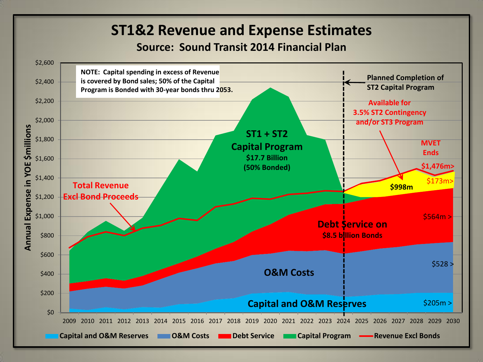#### **ST1&2 Revenue and Expense Estimates**

#### **Source: Sound Transit 2014 Financial Plan**

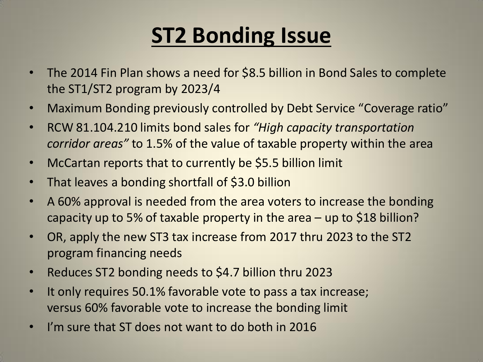## **ST2 Bonding Issue**

- The 2014 Fin Plan shows a need for \$8.5 billion in Bond Sales to complete the ST1/ST2 program by 2023/4
- Maximum Bonding previously controlled by Debt Service "Coverage ratio"
- RCW 81.104.210 limits bond sales for *"High capacity transportation corridor areas"* to 1.5% of the value of taxable property within the area
- McCartan reports that to currently be \$5.5 billion limit
- That leaves a bonding shortfall of \$3.0 billion
- A 60% approval is needed from the area voters to increase the bonding capacity up to 5% of taxable property in the area – up to \$18 billion?
- OR, apply the new ST3 tax increase from 2017 thru 2023 to the ST2 program financing needs
- Reduces ST2 bonding needs to \$4.7 billion thru 2023
- It only requires 50.1% favorable vote to pass a tax increase; versus 60% favorable vote to increase the bonding limit
- I'm sure that ST does not want to do both in 2016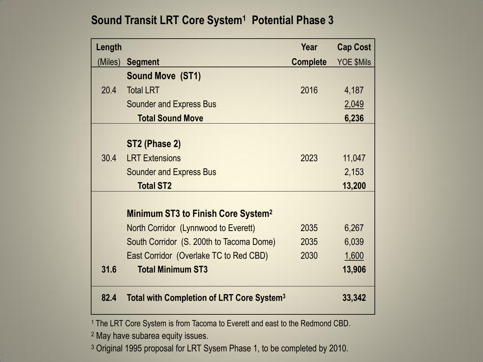#### **Sound Transit LRT Core System<sup>1</sup> Potential Phase 3**

| Length  |                                                       | Year            | <b>Cap Cost</b> |
|---------|-------------------------------------------------------|-----------------|-----------------|
| (Miles) | <b>Segment</b>                                        | <b>Complete</b> | YOE \$Mils      |
|         | <b>Sound Move (ST1)</b>                               |                 |                 |
| 20.4    | <b>Total LRT</b>                                      | 2016            | 4,187           |
|         | <b>Sounder and Express Bus</b>                        |                 | 2,049           |
|         | <b>Total Sound Move</b>                               |                 | 6,236           |
|         |                                                       |                 |                 |
|         | ST2 (Phase 2)                                         |                 |                 |
| 30.4    | <b>LRT Extensions</b>                                 | 2023            | 11,047          |
|         | <b>Sounder and Express Bus</b>                        |                 | 2,153           |
|         | <b>Total ST2</b>                                      |                 | 13,200          |
|         |                                                       |                 |                 |
|         | Minimum ST3 to Finish Core System <sup>2</sup>        |                 |                 |
|         | North Corridor (Lynnwood to Everett)                  | 2035            | 6,267           |
|         | South Corridor (S. 200th to Tacoma Dome)              | 2035            | 6,039           |
|         | East Corridor (Overlake TC to Red CBD)                | 2030            | 1,600           |
| 31.6    | <b>Total Minimum ST3</b>                              |                 | 13,906          |
| 82.4    | Total with Completion of LRT Core System <sup>3</sup> |                 | 33,342          |

<sup>1</sup> The LRT Core System is from Tacoma to Everett and east to the Redmond CBD.

<sup>2</sup> May have subarea equity issues.

<sup>3</sup> Original 1995 proposal for LRT Sysem Phase 1, to be completed by 2010.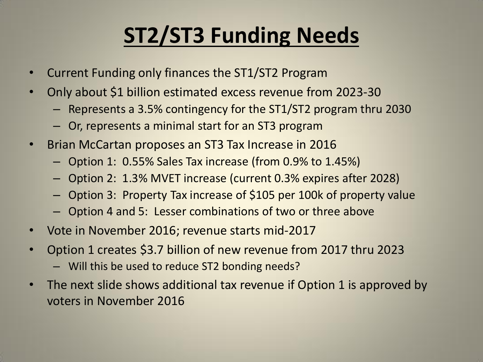# **ST2/ST3 Funding Needs**

- Current Funding only finances the ST1/ST2 Program
- Only about \$1 billion estimated excess revenue from 2023-30
	- Represents a 3.5% contingency for the ST1/ST2 program thru 2030
	- Or, represents a minimal start for an ST3 program
- Brian McCartan proposes an ST3 Tax Increase in 2016
	- Option 1: 0.55% Sales Tax increase (from 0.9% to 1.45%)
	- Option 2: 1.3% MVET increase (current 0.3% expires after 2028)
	- Option 3: Property Tax increase of \$105 per 100k of property value
	- Option 4 and 5: Lesser combinations of two or three above
- Vote in November 2016; revenue starts mid-2017
- Option 1 creates \$3.7 billion of new revenue from 2017 thru 2023
	- Will this be used to reduce ST2 bonding needs?
- The next slide shows additional tax revenue if Option 1 is approved by voters in November 2016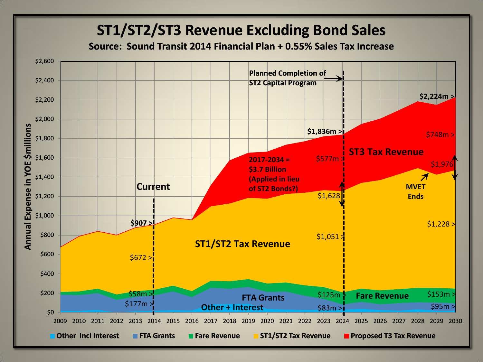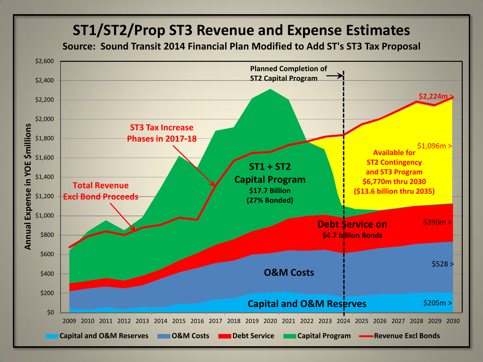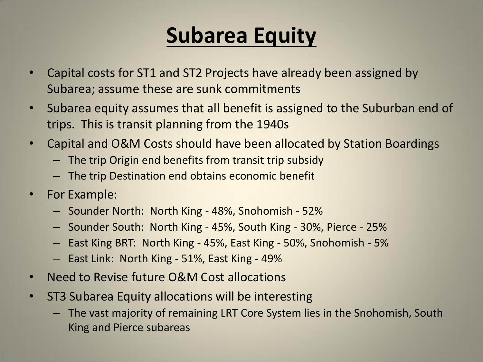#### **Subarea Equity**

- Capital costs for ST1 and ST2 Projects have already been assigned by Subarea; assume these are sunk commitments
- Subarea equity assumes that all benefit is assigned to the Suburban end of trips. This is transit planning from the 1940s
- Capital and O&M Costs should have been allocated by Station Boardings
	- The trip Origin end benefits from transit trip subsidy
	- The trip Destination end obtains economic benefit
- For Example:
	- Sounder North: North King 48%, Snohomish 52%
	- Sounder South: North King 45%, South King 30%, Pierce 25%
	- East King BRT: North King 45%, East King 50%, Snohomish 5%
	- East Link: North King 51%, East King 49%
- Need to Revise future O&M Cost allocations
- ST3 Subarea Equity allocations will be interesting
	- The vast majority of remaining LRT Core System lies in the Snohomish, South King and Pierce subareas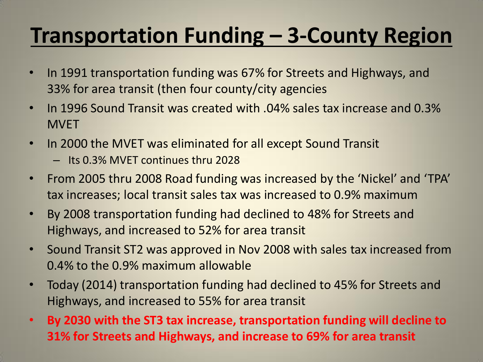## **Transportation Funding – 3-County Region**

- In 1991 transportation funding was 67% for Streets and Highways, and 33% for area transit (then four county/city agencies
- In 1996 Sound Transit was created with .04% sales tax increase and 0.3% **MVFT**
- In 2000 the MVET was eliminated for all except Sound Transit
	- Its 0.3% MVET continues thru 2028
- From 2005 thru 2008 Road funding was increased by the 'Nickel' and 'TPA' tax increases; local transit sales tax was increased to 0.9% maximum
- By 2008 transportation funding had declined to 48% for Streets and Highways, and increased to 52% for area transit
- Sound Transit ST2 was approved in Nov 2008 with sales tax increased from 0.4% to the 0.9% maximum allowable
- Today (2014) transportation funding had declined to 45% for Streets and Highways, and increased to 55% for area transit
- **By 2030 with the ST3 tax increase, transportation funding will decline to 31% for Streets and Highways, and increase to 69% for area transit**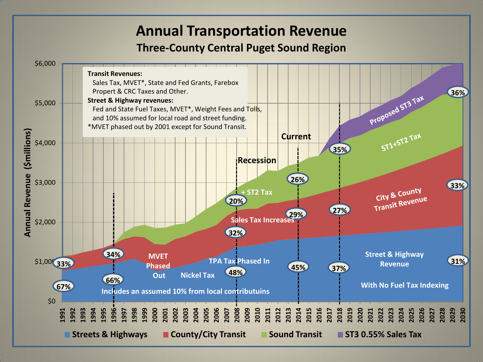#### **Annual Transportation Revenue**

#### **Three-County Central Puget Sound Region**

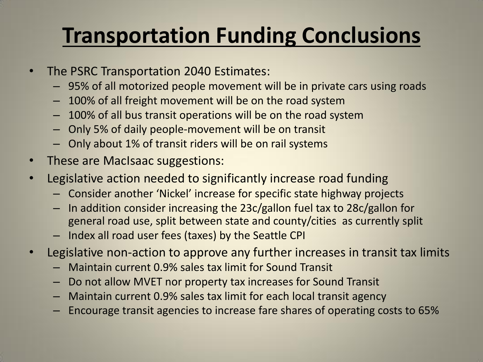## **Transportation Funding Conclusions**

- The PSRC Transportation 2040 Estimates:
	- 95% of all motorized people movement will be in private cars using roads
	- 100% of all freight movement will be on the road system
	- 100% of all bus transit operations will be on the road system
	- Only 5% of daily people-movement will be on transit
	- Only about 1% of transit riders will be on rail systems
- These are MacIsaac suggestions:
- Legislative action needed to significantly increase road funding
	- Consider another 'Nickel' increase for specific state highway projects
	- In addition consider increasing the 23c/gallon fuel tax to 28c/gallon for general road use, split between state and county/cities as currently split
	- Index all road user fees (taxes) by the Seattle CPI
- Legislative non-action to approve any further increases in transit tax limits
	- Maintain current 0.9% sales tax limit for Sound Transit
	- Do not allow MVET nor property tax increases for Sound Transit
	- Maintain current 0.9% sales tax limit for each local transit agency
	- Encourage transit agencies to increase fare shares of operating costs to 65%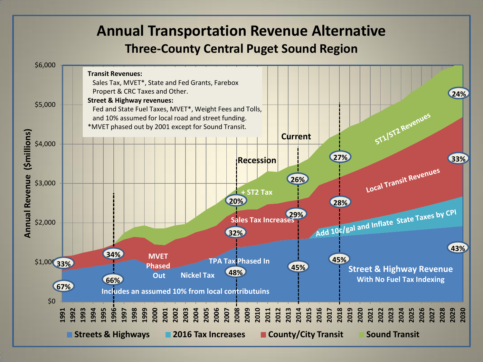#### **Annual Transportation Revenue Alternative Three-County Central Puget Sound Region**